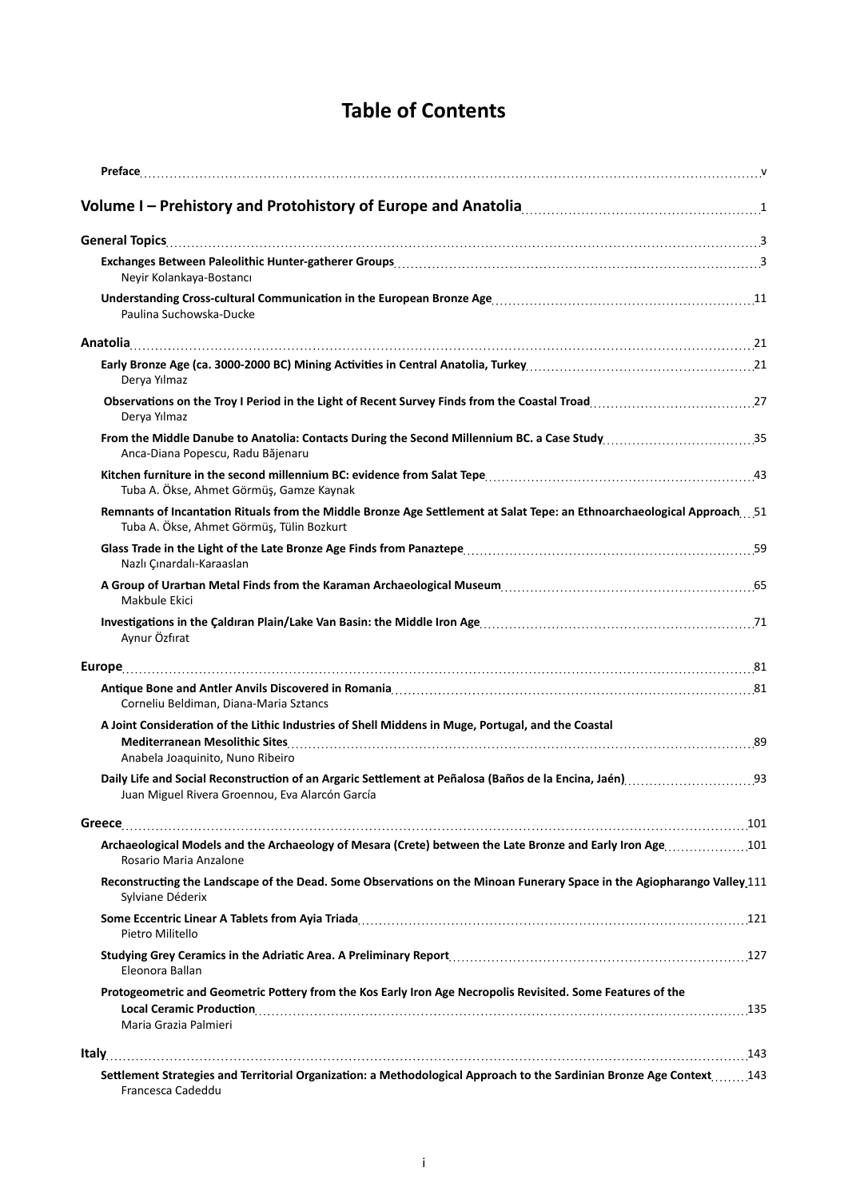## **Table of Contents**

| Neyir Kolankaya-Bostancı                                                                                                                                                                                                                              |  |
|-------------------------------------------------------------------------------------------------------------------------------------------------------------------------------------------------------------------------------------------------------|--|
| Paulina Suchowska-Ducke                                                                                                                                                                                                                               |  |
|                                                                                                                                                                                                                                                       |  |
| Derya Yılmaz                                                                                                                                                                                                                                          |  |
| Derya Yılmaz                                                                                                                                                                                                                                          |  |
| From the Middle Danube to Anatolia: Contacts During the Second Millennium BC. a Case Study35<br>Anca-Diana Popescu, Radu Băjenaru                                                                                                                     |  |
| Tuba A. Ökse, Ahmet Görmüş, Gamze Kaynak                                                                                                                                                                                                              |  |
| Remnants of Incantation Rituals from the Middle Bronze Age Settlement at Salat Tepe: an Ethnoarchaeological Approach51<br>Tuba A. Ökse, Ahmet Görmüş, Tülin Bozkurt                                                                                   |  |
| Nazlı Çınardalı-Karaaslan                                                                                                                                                                                                                             |  |
| Makbule Ekici                                                                                                                                                                                                                                         |  |
| Aynur Özfırat                                                                                                                                                                                                                                         |  |
|                                                                                                                                                                                                                                                       |  |
| Corneliu Beldiman, Diana-Maria Sztancs                                                                                                                                                                                                                |  |
| A Joint Consideration of the Lithic Industries of Shell Middens in Muge, Portugal, and the Coastal                                                                                                                                                    |  |
| Anabela Joaquinito, Nuno Ribeiro                                                                                                                                                                                                                      |  |
| Juan Miguel Rivera Groennou, Eva Alarcón García                                                                                                                                                                                                       |  |
|                                                                                                                                                                                                                                                       |  |
| Archaeological Models and the Archaeology of Mesara (Crete) between the Late Bronze and Early Iron Age 101<br>Rosario Maria Anzalone                                                                                                                  |  |
| Reconstructing the Landscape of the Dead. Some Observations on the Minoan Funerary Space in the Agiopharango Valley 111<br>Sylviane Déderix                                                                                                           |  |
| Pietro Militello                                                                                                                                                                                                                                      |  |
| Eleonora Ballan                                                                                                                                                                                                                                       |  |
| Protogeometric and Geometric Pottery from the Kos Early Iron Age Necropolis Revisited. Some Features of the<br>Local Ceramic Production Material Assemblance and Assemblance and Assemblance and Assemblance and Assemblance<br>Maria Grazia Palmieri |  |
|                                                                                                                                                                                                                                                       |  |
| Settlement Strategies and Territorial Organization: a Methodological Approach to the Sardinian Bronze Age Context143<br>Francesca Cadeddu                                                                                                             |  |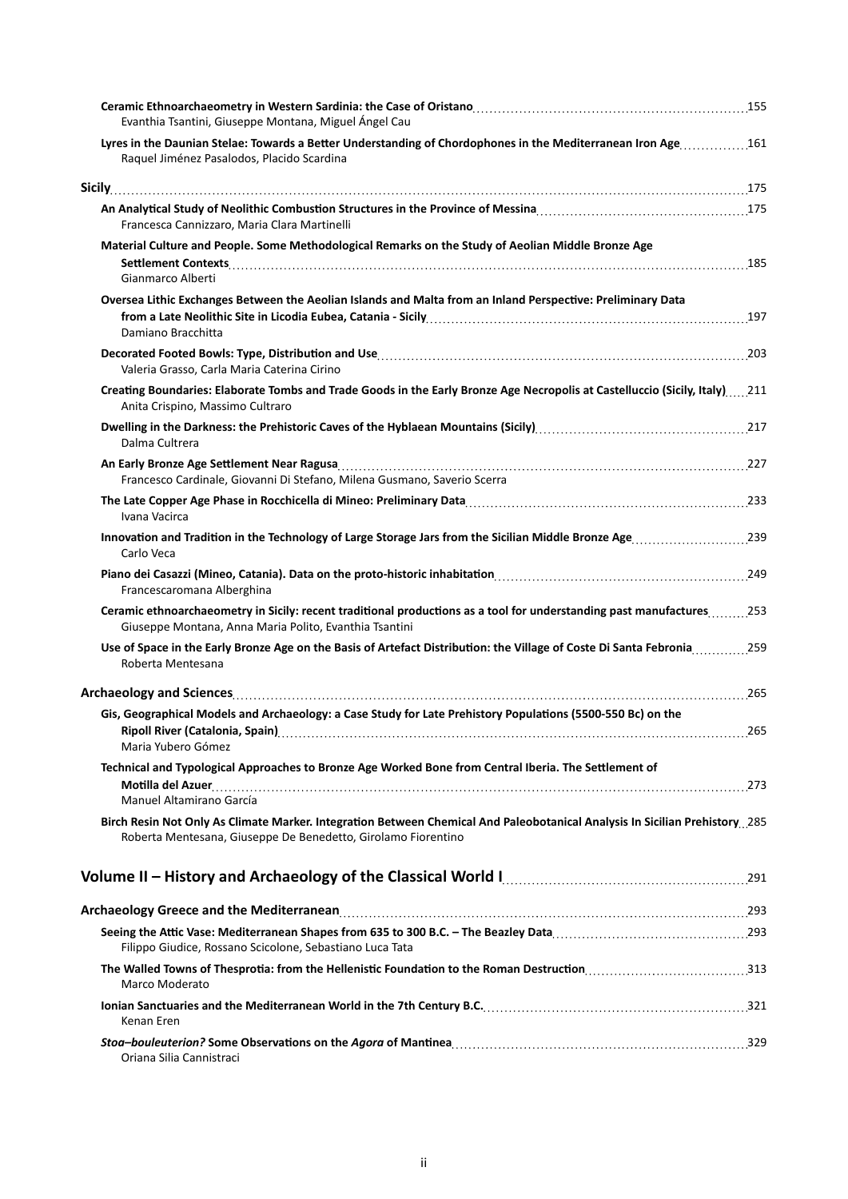| Evanthia Tsantini, Giuseppe Montana, Miguel Ángel Cau                                                                                                                                         |     |
|-----------------------------------------------------------------------------------------------------------------------------------------------------------------------------------------------|-----|
| Lyres in the Daunian Stelae: Towards a Better Understanding of Chordophones in the Mediterranean Iron Age161<br>Raquel Jiménez Pasalodos, Placido Scardina                                    |     |
|                                                                                                                                                                                               |     |
| Francesca Cannizzaro, Maria Clara Martinelli                                                                                                                                                  |     |
| Material Culture and People. Some Methodological Remarks on the Study of Aeolian Middle Bronze Age<br>Gianmarco Alberti                                                                       |     |
| Oversea Lithic Exchanges Between the Aeolian Islands and Malta from an Inland Perspective: Preliminary Data<br>Damiano Bracchitta                                                             |     |
| Valeria Grasso, Carla Maria Caterina Cirino                                                                                                                                                   |     |
| Creating Boundaries: Elaborate Tombs and Trade Goods in the Early Bronze Age Necropolis at Castelluccio (Sicily, Italy)211<br>Anita Crispino, Massimo Cultraro                                |     |
| Dalma Cultrera                                                                                                                                                                                |     |
| Francesco Cardinale, Giovanni Di Stefano, Milena Gusmano, Saverio Scerra                                                                                                                      |     |
| Ivana Vacirca                                                                                                                                                                                 |     |
| Innovation and Tradition in the Technology of Large Storage Jars from the Sicilian Middle Bronze Age239<br>Carlo Veca                                                                         |     |
| Francescaromana Alberghina                                                                                                                                                                    |     |
| Ceramic ethnoarchaeometry in Sicily: recent traditional productions as a tool for understanding past manufactures253<br>Giuseppe Montana, Anna Maria Polito, Evanthia Tsantini                |     |
| Use of Space in the Early Bronze Age on the Basis of Artefact Distribution: the Village of Coste Di Santa Febronia259<br>Roberta Mentesana                                                    |     |
|                                                                                                                                                                                               |     |
| Gis, Geographical Models and Archaeology: a Case Study for Late Prehistory Populations (5500-550 Bc) on the<br>Ripoll River (Catalonia, Spain)                                                | 265 |
| Maria Yubero Gómez<br>Technical and Typological Approaches to Bronze Age Worked Bone from Central Iberia. The Settlement of                                                                   | 273 |
| Manuel Altamirano García                                                                                                                                                                      |     |
| Birch Resin Not Only As Climate Marker. Integration Between Chemical And Paleobotanical Analysis In Sicilian Prehistory. 285<br>Roberta Mentesana, Giuseppe De Benedetto, Girolamo Fiorentino |     |
| Volume II - History and Archaeology of the Classical World I. [10011] Volume II - History and Archaeology of the Classical World I.                                                           |     |
|                                                                                                                                                                                               |     |
| Filippo Giudice, Rossano Scicolone, Sebastiano Luca Tata                                                                                                                                      |     |
| The Walled Towns of Thesprotia: from the Hellenistic Foundation to the Roman Destruction313<br>Marco Moderato                                                                                 |     |
| Kenan Eren                                                                                                                                                                                    |     |
| Oriana Silia Cannistraci                                                                                                                                                                      |     |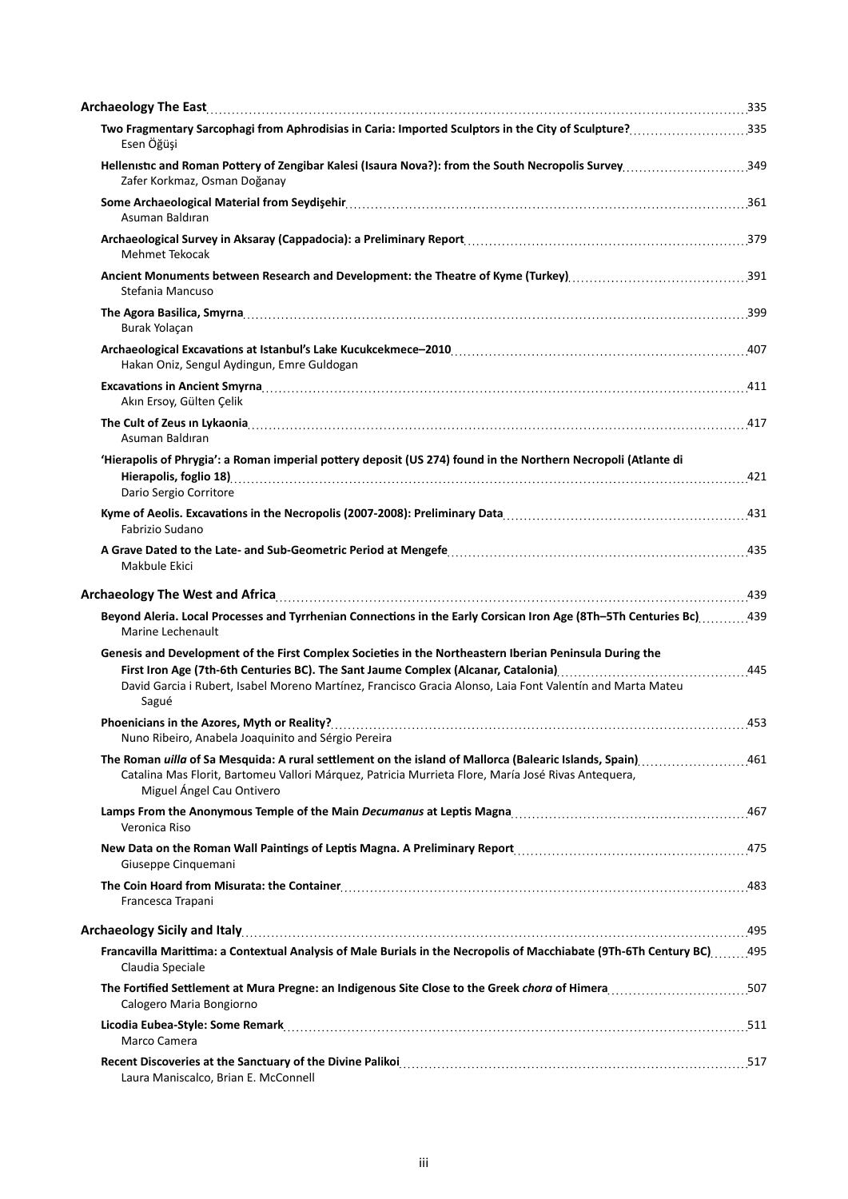| Two Fragmentary Sarcophagi from Aphrodisias in Caria: Imported Sculptors in the City of Sculpture? 335<br>Esen Öğüşi                                                                                                                                |  |
|-----------------------------------------------------------------------------------------------------------------------------------------------------------------------------------------------------------------------------------------------------|--|
| Hellenistic and Roman Pottery of Zengibar Kalesi (Isaura Nova?): from the South Necropolis Survey349<br>Zafer Korkmaz, Osman Doğanay                                                                                                                |  |
| Asuman Baldıran                                                                                                                                                                                                                                     |  |
| Mehmet Tekocak                                                                                                                                                                                                                                      |  |
| Stefania Mancuso                                                                                                                                                                                                                                    |  |
| Burak Yolaçan                                                                                                                                                                                                                                       |  |
| Hakan Oniz, Sengul Aydingun, Emre Guldogan                                                                                                                                                                                                          |  |
| Akın Ersoy, Gülten Çelik                                                                                                                                                                                                                            |  |
| Asuman Baldıran                                                                                                                                                                                                                                     |  |
| 'Hierapolis of Phrygia': a Roman imperial pottery deposit (US 274) found in the Northern Necropoli (Atlante di<br>Dario Sergio Corritore                                                                                                            |  |
| Fabrizio Sudano                                                                                                                                                                                                                                     |  |
| Makbule Ekici                                                                                                                                                                                                                                       |  |
|                                                                                                                                                                                                                                                     |  |
| Beyond Aleria. Local Processes and Tyrrhenian Connections in the Early Corsican Iron Age (8Th-5Th Centuries Bc)439<br>Marine Lechenault                                                                                                             |  |
| Genesis and Development of the First Complex Societies in the Northeastern Iberian Peninsula During the<br>David Garcia i Rubert, Isabel Moreno Martínez, Francisco Gracia Alonso, Laia Font Valentín and Marta Mateu<br>Sagué                      |  |
| Nuno Ribeiro, Anabela Joaquinito and Sérgio Pereira                                                                                                                                                                                                 |  |
| The Roman uilla of Sa Mesquida: A rural settlement on the island of Mallorca (Balearic Islands, Spain) 461<br>Catalina Mas Florit, Bartomeu Vallori Márquez, Patricia Murrieta Flore, María José Rivas Antequera,<br>Miguel Ángel Cau Ontivero      |  |
| Veronica Riso                                                                                                                                                                                                                                       |  |
| Giuseppe Cinquemani                                                                                                                                                                                                                                 |  |
| 183. The Coin Hoard from Misurata: the Container material content content of the Coin Hoard from Misurata: the Container material content of the Content of the Content of the Content of the Content of the Content of the Co<br>Francesca Trapani |  |
|                                                                                                                                                                                                                                                     |  |
| Francavilla Marittima: a Contextual Analysis of Male Burials in the Necropolis of Macchiabate (9Th-6Th Century BC)495<br>Claudia Speciale                                                                                                           |  |
| The Fortified Settlement at Mura Pregne: an Indigenous Site Close to the Greek chora of Himera507<br>Calogero Maria Bongiorno                                                                                                                       |  |
| Marco Camera                                                                                                                                                                                                                                        |  |
| Laura Maniscalco, Brian E. McConnell                                                                                                                                                                                                                |  |